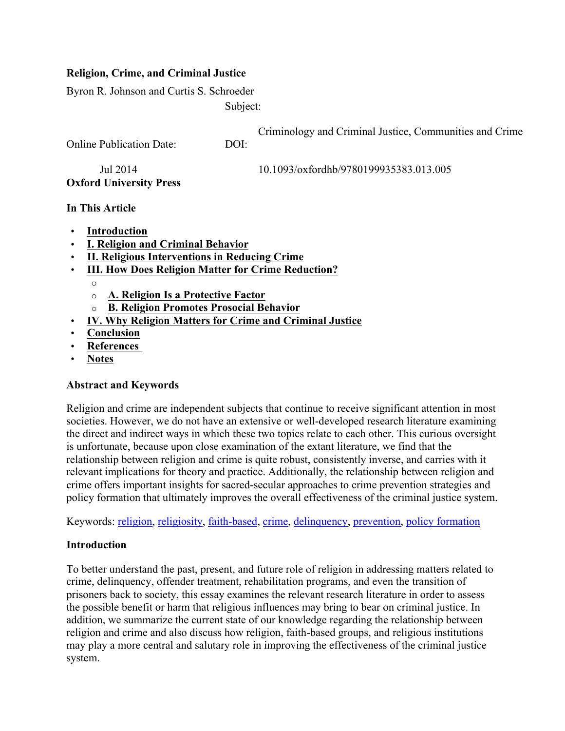# **Religion, Crime, and Criminal Justice**

Byron R. Johnson and Curtis S. Schroeder

Subject:

Criminology and Criminal Justice, Communities and Crime Online Publication Date: Jul 2014  $DOI<sup>+</sup>$ 10.1093/oxfordhb/9780199935383.013.005 **Oxford University Press** 

#### **In This Article**

- **Introduction**
- **I. Religion and Criminal Behavior**
- **II. Religious Interventions in Reducing Crime**
- **III. How Does Religion Matter for Crime Reduction?**
	- o
		- o **A. Religion Is a Protective Factor**
		- o **B. Religion Promotes Prosocial Behavior**
- **IV. Why Religion Matters for Crime and Criminal Justice**
- **Conclusion**
- **References**
- **Notes**

# **Abstract and Keywords**

Religion and crime are independent subjects that continue to receive significant attention in most societies. However, we do not have an extensive or well-developed research literature examining the direct and indirect ways in which these two topics relate to each other. This curious oversight is unfortunate, because upon close examination of the extant literature, we find that the relationship between religion and crime is quite robust, consistently inverse, and carries with it relevant implications for theory and practice. Additionally, the relationship between religion and crime offers important insights for sacred-secular approaches to crime prevention strategies and policy formation that ultimately improves the overall effectiveness of the criminal justice system.

Keywords: religion, religiosity, faith-based, crime, delinquency, prevention, policy formation

# **Introduction**

To better understand the past, present, and future role of religion in addressing matters related to crime, delinquency, offender treatment, rehabilitation programs, and even the transition of prisoners back to society, this essay examines the relevant research literature in order to assess the possible benefit or harm that religious influences may bring to bear on criminal justice. In addition, we summarize the current state of our knowledge regarding the relationship between religion and crime and also discuss how religion, faith-based groups, and religious institutions may play a more central and salutary role in improving the effectiveness of the criminal justice system.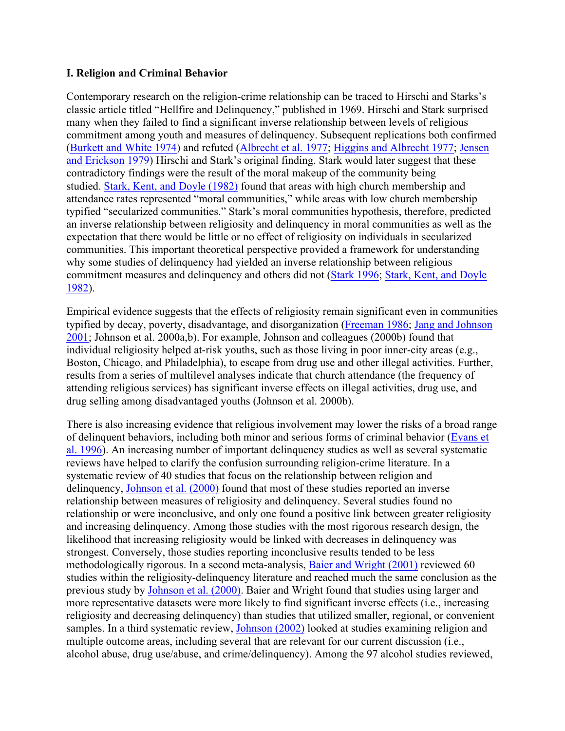#### **I. Religion and Criminal Behavior**

Contemporary research on the religion-crime relationship can be traced to Hirschi and Starks's classic article titled "Hellfire and Delinquency," published in 1969. Hirschi and Stark surprised many when they failed to find a significant inverse relationship between levels of religious commitment among youth and measures of delinquency. Subsequent replications both confirmed (Burkett and White 1974) and refuted (Albrecht et al. 1977; Higgins and Albrecht 1977; Jensen and Erickson 1979) Hirschi and Stark's original finding. Stark would later suggest that these contradictory findings were the result of the moral makeup of the community being studied. Stark, Kent, and Doyle (1982) found that areas with high church membership and attendance rates represented "moral communities," while areas with low church membership typified "secularized communities." Stark's moral communities hypothesis, therefore, predicted an inverse relationship between religiosity and delinquency in moral communities as well as the expectation that there would be little or no effect of religiosity on individuals in secularized communities. This important theoretical perspective provided a framework for understanding why some studies of delinquency had yielded an inverse relationship between religious commitment measures and delinquency and others did not (Stark 1996; Stark, Kent, and Doyle 1982).

Empirical evidence suggests that the effects of religiosity remain significant even in communities typified by decay, poverty, disadvantage, and disorganization (Freeman 1986; Jang and Johnson 2001; Johnson et al. 2000a,b). For example, Johnson and colleagues (2000b) found that individual religiosity helped at-risk youths, such as those living in poor inner-city areas (e.g., Boston, Chicago, and Philadelphia), to escape from drug use and other illegal activities. Further, results from a series of multilevel analyses indicate that church attendance (the frequency of attending religious services) has significant inverse effects on illegal activities, drug use, and drug selling among disadvantaged youths (Johnson et al. 2000b).

There is also increasing evidence that religious involvement may lower the risks of a broad range of delinquent behaviors, including both minor and serious forms of criminal behavior (Evans et al. 1996). An increasing number of important delinquency studies as well as several systematic reviews have helped to clarify the confusion surrounding religion-crime literature. In a systematic review of 40 studies that focus on the relationship between religion and delinquency, Johnson et al. (2000) found that most of these studies reported an inverse relationship between measures of religiosity and delinquency. Several studies found no relationship or were inconclusive, and only one found a positive link between greater religiosity and increasing delinquency. Among those studies with the most rigorous research design, the likelihood that increasing religiosity would be linked with decreases in delinquency was strongest. Conversely, those studies reporting inconclusive results tended to be less methodologically rigorous. In a second meta-analysis, Baier and Wright (2001) reviewed 60 studies within the religiosity-delinquency literature and reached much the same conclusion as the previous study by Johnson et al. (2000). Baier and Wright found that studies using larger and more representative datasets were more likely to find significant inverse effects (i.e., increasing religiosity and decreasing delinquency) than studies that utilized smaller, regional, or convenient samples. In a third systematic review, Johnson (2002) looked at studies examining religion and multiple outcome areas, including several that are relevant for our current discussion (i.e., alcohol abuse, drug use/abuse, and crime/delinquency). Among the 97 alcohol studies reviewed,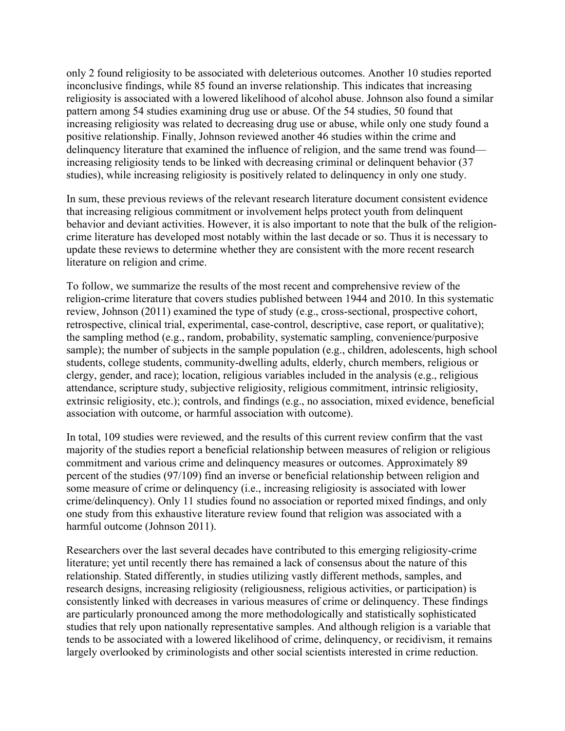only 2 found religiosity to be associated with deleterious outcomes. Another 10 studies reported inconclusive findings, while 85 found an inverse relationship. This indicates that increasing religiosity is associated with a lowered likelihood of alcohol abuse. Johnson also found a similar pattern among 54 studies examining drug use or abuse. Of the 54 studies, 50 found that increasing religiosity was related to decreasing drug use or abuse, while only one study found a positive relationship. Finally, Johnson reviewed another 46 studies within the crime and delinquency literature that examined the influence of religion, and the same trend was found increasing religiosity tends to be linked with decreasing criminal or delinquent behavior (37 studies), while increasing religiosity is positively related to delinquency in only one study.

In sum, these previous reviews of the relevant research literature document consistent evidence that increasing religious commitment or involvement helps protect youth from delinquent behavior and deviant activities. However, it is also important to note that the bulk of the religioncrime literature has developed most notably within the last decade or so. Thus it is necessary to update these reviews to determine whether they are consistent with the more recent research literature on religion and crime.

To follow, we summarize the results of the most recent and comprehensive review of the religion-crime literature that covers studies published between 1944 and 2010. In this systematic review, Johnson (2011) examined the type of study (e.g., cross-sectional, prospective cohort, retrospective, clinical trial, experimental, case-control, descriptive, case report, or qualitative); the sampling method (e.g., random, probability, systematic sampling, convenience/purposive sample); the number of subjects in the sample population (e.g., children, adolescents, high school students, college students, community-dwelling adults, elderly, church members, religious or clergy, gender, and race); location, religious variables included in the analysis (e.g., religious attendance, scripture study, subjective religiosity, religious commitment, intrinsic religiosity, extrinsic religiosity, etc.); controls, and findings (e.g., no association, mixed evidence, beneficial association with outcome, or harmful association with outcome).

In total, 109 studies were reviewed, and the results of this current review confirm that the vast majority of the studies report a beneficial relationship between measures of religion or religious commitment and various crime and delinquency measures or outcomes. Approximately 89 percent of the studies (97/109) find an inverse or beneficial relationship between religion and some measure of crime or delinquency (i.e., increasing religiosity is associated with lower crime/delinquency). Only 11 studies found no association or reported mixed findings, and only one study from this exhaustive literature review found that religion was associated with a harmful outcome (Johnson 2011).

Researchers over the last several decades have contributed to this emerging religiosity-crime literature; yet until recently there has remained a lack of consensus about the nature of this relationship. Stated differently, in studies utilizing vastly different methods, samples, and research designs, increasing religiosity (religiousness, religious activities, or participation) is consistently linked with decreases in various measures of crime or delinquency. These findings are particularly pronounced among the more methodologically and statistically sophisticated studies that rely upon nationally representative samples. And although religion is a variable that tends to be associated with a lowered likelihood of crime, delinquency, or recidivism, it remains largely overlooked by criminologists and other social scientists interested in crime reduction.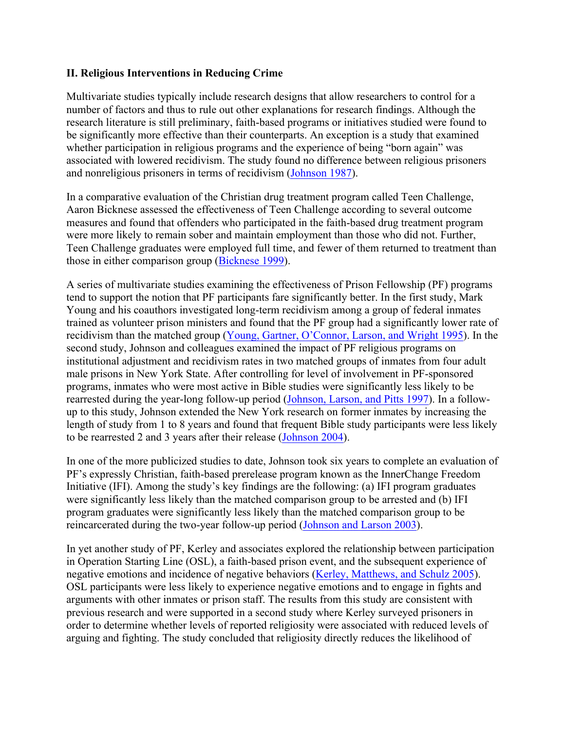#### **II. Religious Interventions in Reducing Crime**

Multivariate studies typically include research designs that allow researchers to control for a number of factors and thus to rule out other explanations for research findings. Although the research literature is still preliminary, faith-based programs or initiatives studied were found to be significantly more effective than their counterparts. An exception is a study that examined whether participation in religious programs and the experience of being "born again" was associated with lowered recidivism. The study found no difference between religious prisoners and nonreligious prisoners in terms of recidivism (Johnson 1987).

In a comparative evaluation of the Christian drug treatment program called Teen Challenge, Aaron Bicknese assessed the effectiveness of Teen Challenge according to several outcome measures and found that offenders who participated in the faith-based drug treatment program were more likely to remain sober and maintain employment than those who did not. Further, Teen Challenge graduates were employed full time, and fewer of them returned to treatment than those in either comparison group (Bicknese 1999).

A series of multivariate studies examining the effectiveness of Prison Fellowship (PF) programs tend to support the notion that PF participants fare significantly better. In the first study, Mark Young and his coauthors investigated long-term recidivism among a group of federal inmates trained as volunteer prison ministers and found that the PF group had a significantly lower rate of recidivism than the matched group (Young, Gartner, O'Connor, Larson, and Wright 1995). In the second study, Johnson and colleagues examined the impact of PF religious programs on institutional adjustment and recidivism rates in two matched groups of inmates from four adult male prisons in New York State. After controlling for level of involvement in PF-sponsored programs, inmates who were most active in Bible studies were significantly less likely to be rearrested during the year-long follow-up period (Johnson, Larson, and Pitts 1997). In a followup to this study, Johnson extended the New York research on former inmates by increasing the length of study from 1 to 8 years and found that frequent Bible study participants were less likely to be rearrested 2 and 3 years after their release (Johnson 2004).

In one of the more publicized studies to date, Johnson took six years to complete an evaluation of PF's expressly Christian, faith-based prerelease program known as the InnerChange Freedom Initiative (IFI). Among the study's key findings are the following: (a) IFI program graduates were significantly less likely than the matched comparison group to be arrested and (b) IFI program graduates were significantly less likely than the matched comparison group to be reincarcerated during the two-year follow-up period (Johnson and Larson 2003).

In yet another study of PF, Kerley and associates explored the relationship between participation in Operation Starting Line (OSL), a faith-based prison event, and the subsequent experience of negative emotions and incidence of negative behaviors (Kerley, Matthews, and Schulz 2005). OSL participants were less likely to experience negative emotions and to engage in fights and arguments with other inmates or prison staff. The results from this study are consistent with previous research and were supported in a second study where Kerley surveyed prisoners in order to determine whether levels of reported religiosity were associated with reduced levels of arguing and fighting. The study concluded that religiosity directly reduces the likelihood of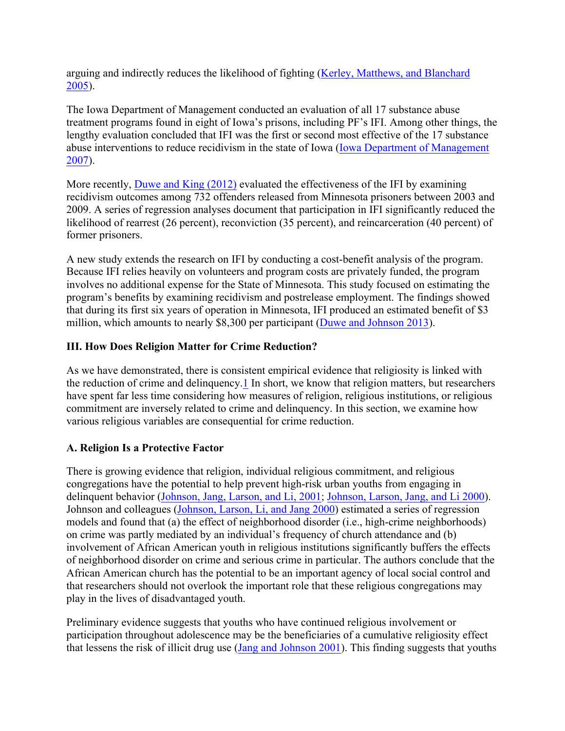arguing and indirectly reduces the likelihood of fighting (Kerley, Matthews, and Blanchard 2005).

The Iowa Department of Management conducted an evaluation of all 17 substance abuse treatment programs found in eight of Iowa's prisons, including PF's IFI. Among other things, the lengthy evaluation concluded that IFI was the first or second most effective of the 17 substance abuse interventions to reduce recidivism in the state of Iowa (Iowa Department of Management 2007).

More recently, Duwe and King (2012) evaluated the effectiveness of the IFI by examining recidivism outcomes among 732 offenders released from Minnesota prisoners between 2003 and 2009. A series of regression analyses document that participation in IFI significantly reduced the likelihood of rearrest (26 percent), reconviction (35 percent), and reincarceration (40 percent) of former prisoners.

A new study extends the research on IFI by conducting a cost-benefit analysis of the program. Because IFI relies heavily on volunteers and program costs are privately funded, the program involves no additional expense for the State of Minnesota. This study focused on estimating the program's benefits by examining recidivism and postrelease employment. The findings showed that during its first six years of operation in Minnesota, IFI produced an estimated benefit of \$3 million, which amounts to nearly \$8,300 per participant (Duwe and Johnson 2013).

# **III. How Does Religion Matter for Crime Reduction?**

As we have demonstrated, there is consistent empirical evidence that religiosity is linked with the reduction of crime and delinquency.1 In short, we know that religion matters, but researchers have spent far less time considering how measures of religion, religious institutions, or religious commitment are inversely related to crime and delinquency. In this section, we examine how various religious variables are consequential for crime reduction.

# **A. Religion Is a Protective Factor**

There is growing evidence that religion, individual religious commitment, and religious congregations have the potential to help prevent high-risk urban youths from engaging in delinquent behavior (Johnson, Jang, Larson, and Li, 2001; Johnson, Larson, Jang, and Li 2000). Johnson and colleagues (Johnson, Larson, Li, and Jang 2000) estimated a series of regression models and found that (a) the effect of neighborhood disorder (i.e., high-crime neighborhoods) on crime was partly mediated by an individual's frequency of church attendance and (b) involvement of African American youth in religious institutions significantly buffers the effects of neighborhood disorder on crime and serious crime in particular. The authors conclude that the African American church has the potential to be an important agency of local social control and that researchers should not overlook the important role that these religious congregations may play in the lives of disadvantaged youth.

Preliminary evidence suggests that youths who have continued religious involvement or participation throughout adolescence may be the beneficiaries of a cumulative religiosity effect that lessens the risk of illicit drug use (Jang and Johnson 2001). This finding suggests that youths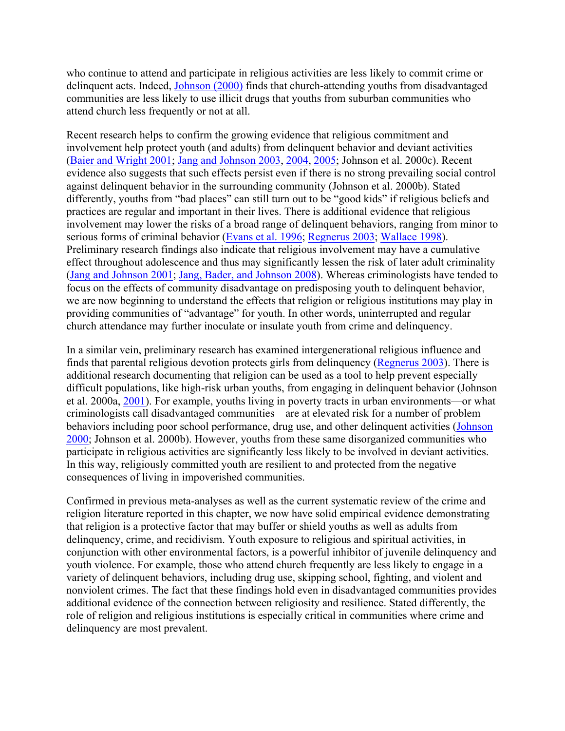who continue to attend and participate in religious activities are less likely to commit crime or delinquent acts. Indeed, Johnson (2000) finds that church-attending youths from disadvantaged communities are less likely to use illicit drugs that youths from suburban communities who attend church less frequently or not at all.

Recent research helps to confirm the growing evidence that religious commitment and involvement help protect youth (and adults) from delinquent behavior and deviant activities (Baier and Wright 2001; Jang and Johnson 2003, 2004, 2005; Johnson et al. 2000c). Recent evidence also suggests that such effects persist even if there is no strong prevailing social control against delinquent behavior in the surrounding community (Johnson et al. 2000b). Stated differently, youths from "bad places" can still turn out to be "good kids" if religious beliefs and practices are regular and important in their lives. There is additional evidence that religious involvement may lower the risks of a broad range of delinquent behaviors, ranging from minor to serious forms of criminal behavior (Evans et al. 1996; Regnerus 2003; Wallace 1998). Preliminary research findings also indicate that religious involvement may have a cumulative effect throughout adolescence and thus may significantly lessen the risk of later adult criminality (Jang and Johnson 2001; Jang, Bader, and Johnson 2008). Whereas criminologists have tended to focus on the effects of community disadvantage on predisposing youth to delinquent behavior, we are now beginning to understand the effects that religion or religious institutions may play in providing communities of "advantage" for youth. In other words, uninterrupted and regular church attendance may further inoculate or insulate youth from crime and delinquency.

In a similar vein, preliminary research has examined intergenerational religious influence and finds that parental religious devotion protects girls from delinquency (Regnerus 2003). There is additional research documenting that religion can be used as a tool to help prevent especially difficult populations, like high-risk urban youths, from engaging in delinquent behavior (Johnson et al. 2000a, 2001). For example, youths living in poverty tracts in urban environments—or what criminologists call disadvantaged communities—are at elevated risk for a number of problem behaviors including poor school performance, drug use, and other delinquent activities (Johnson 2000; Johnson et al. 2000b). However, youths from these same disorganized communities who participate in religious activities are significantly less likely to be involved in deviant activities. In this way, religiously committed youth are resilient to and protected from the negative consequences of living in impoverished communities.

Confirmed in previous meta-analyses as well as the current systematic review of the crime and religion literature reported in this chapter, we now have solid empirical evidence demonstrating that religion is a protective factor that may buffer or shield youths as well as adults from delinquency, crime, and recidivism. Youth exposure to religious and spiritual activities, in conjunction with other environmental factors, is a powerful inhibitor of juvenile delinquency and youth violence. For example, those who attend church frequently are less likely to engage in a variety of delinquent behaviors, including drug use, skipping school, fighting, and violent and nonviolent crimes. The fact that these findings hold even in disadvantaged communities provides additional evidence of the connection between religiosity and resilience. Stated differently, the role of religion and religious institutions is especially critical in communities where crime and delinquency are most prevalent.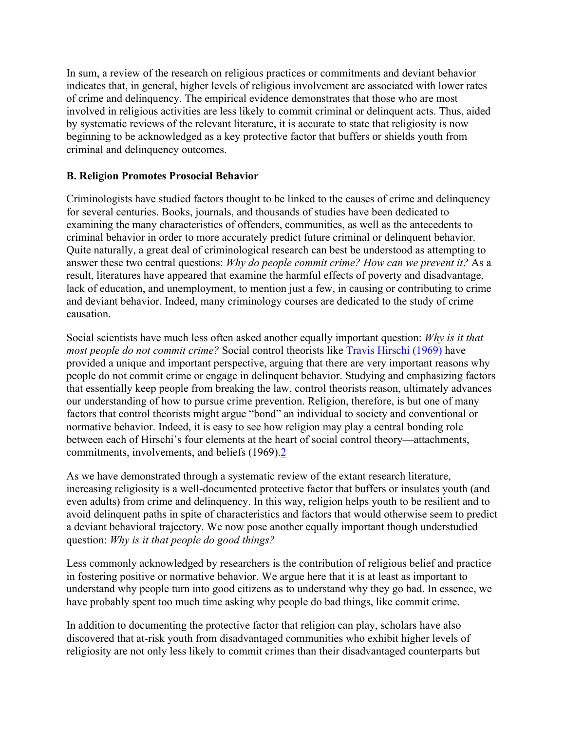In sum, a review of the research on religious practices or commitments and deviant behavior indicates that, in general, higher levels of religious involvement are associated with lower rates of crime and delinquency. The empirical evidence demonstrates that those who are most involved in religious activities are less likely to commit criminal or delinquent acts. Thus, aided by systematic reviews of the relevant literature, it is accurate to state that religiosity is now beginning to be acknowledged as a key protective factor that buffers or shields youth from criminal and delinquency outcomes.

# **B. Religion Promotes Prosocial Behavior**

Criminologists have studied factors thought to be linked to the causes of crime and delinquency for several centuries. Books, journals, and thousands of studies have been dedicated to examining the many characteristics of offenders, communities, as well as the antecedents to criminal behavior in order to more accurately predict future criminal or delinquent behavior. Quite naturally, a great deal of criminological research can best be understood as attempting to answer these two central questions: *Why do people commit crime? How can we prevent it?* As a result, literatures have appeared that examine the harmful effects of poverty and disadvantage, lack of education, and unemployment, to mention just a few, in causing or contributing to crime and deviant behavior. Indeed, many criminology courses are dedicated to the study of crime causation.

Social scientists have much less often asked another equally important question: *Why is it that most people do not commit crime?* Social control theorists like Travis Hirschi (1969) have provided a unique and important perspective, arguing that there are very important reasons why people do not commit crime or engage in delinquent behavior. Studying and emphasizing factors that essentially keep people from breaking the law, control theorists reason, ultimately advances our understanding of how to pursue crime prevention. Religion, therefore, is but one of many factors that control theorists might argue "bond" an individual to society and conventional or normative behavior. Indeed, it is easy to see how religion may play a central bonding role between each of Hirschi's four elements at the heart of social control theory—attachments, commitments, involvements, and beliefs (1969).2

As we have demonstrated through a systematic review of the extant research literature, increasing religiosity is a well-documented protective factor that buffers or insulates youth (and even adults) from crime and delinquency. In this way, religion helps youth to be resilient and to avoid delinquent paths in spite of characteristics and factors that would otherwise seem to predict a deviant behavioral trajectory. We now pose another equally important though understudied question: *Why is it that people do good things?*

Less commonly acknowledged by researchers is the contribution of religious belief and practice in fostering positive or normative behavior. We argue here that it is at least as important to understand why people turn into good citizens as to understand why they go bad. In essence, we have probably spent too much time asking why people do bad things, like commit crime.

In addition to documenting the protective factor that religion can play, scholars have also discovered that at-risk youth from disadvantaged communities who exhibit higher levels of religiosity are not only less likely to commit crimes than their disadvantaged counterparts but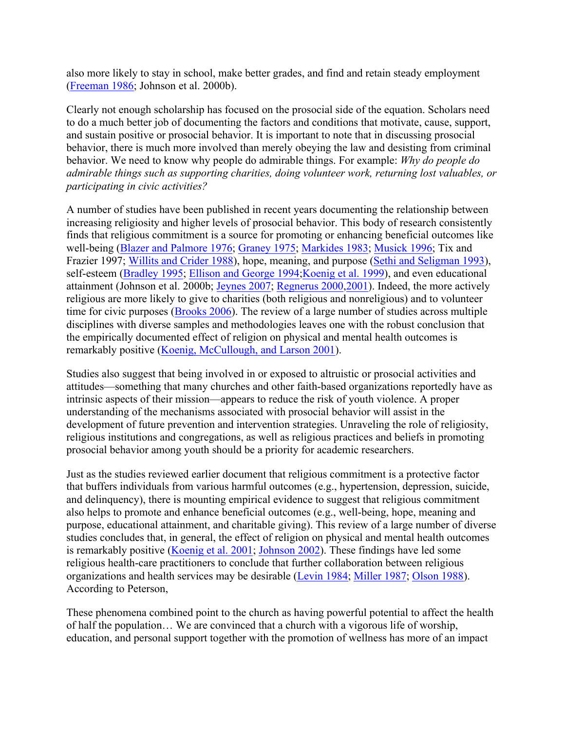also more likely to stay in school, make better grades, and find and retain steady employment (Freeman 1986; Johnson et al. 2000b).

Clearly not enough scholarship has focused on the prosocial side of the equation. Scholars need to do a much better job of documenting the factors and conditions that motivate, cause, support, and sustain positive or prosocial behavior. It is important to note that in discussing prosocial behavior, there is much more involved than merely obeying the law and desisting from criminal behavior. We need to know why people do admirable things. For example: *Why do people do admirable things such as supporting charities, doing volunteer work, returning lost valuables, or participating in civic activities?*

A number of studies have been published in recent years documenting the relationship between increasing religiosity and higher levels of prosocial behavior. This body of research consistently finds that religious commitment is a source for promoting or enhancing beneficial outcomes like well-being (Blazer and Palmore 1976; Graney 1975; Markides 1983; Musick 1996; Tix and Frazier 1997; Willits and Crider 1988), hope, meaning, and purpose (Sethi and Seligman 1993), self-esteem (Bradley 1995; Ellison and George 1994; Koenig et al. 1999), and even educational attainment (Johnson et al. 2000b; Jeynes 2007; Regnerus 2000,2001). Indeed, the more actively religious are more likely to give to charities (both religious and nonreligious) and to volunteer time for civic purposes (Brooks 2006). The review of a large number of studies across multiple disciplines with diverse samples and methodologies leaves one with the robust conclusion that the empirically documented effect of religion on physical and mental health outcomes is remarkably positive (Koenig, McCullough, and Larson 2001).

Studies also suggest that being involved in or exposed to altruistic or prosocial activities and attitudes—something that many churches and other faith-based organizations reportedly have as intrinsic aspects of their mission—appears to reduce the risk of youth violence. A proper understanding of the mechanisms associated with prosocial behavior will assist in the development of future prevention and intervention strategies. Unraveling the role of religiosity, religious institutions and congregations, as well as religious practices and beliefs in promoting prosocial behavior among youth should be a priority for academic researchers.

Just as the studies reviewed earlier document that religious commitment is a protective factor that buffers individuals from various harmful outcomes (e.g., hypertension, depression, suicide, and delinquency), there is mounting empirical evidence to suggest that religious commitment also helps to promote and enhance beneficial outcomes (e.g., well-being, hope, meaning and purpose, educational attainment, and charitable giving). This review of a large number of diverse studies concludes that, in general, the effect of religion on physical and mental health outcomes is remarkably positive (Koenig et al. 2001; Johnson 2002). These findings have led some religious health-care practitioners to conclude that further collaboration between religious organizations and health services may be desirable (Levin 1984; Miller 1987; Olson 1988). According to Peterson,

These phenomena combined point to the church as having powerful potential to affect the health of half the population… We are convinced that a church with a vigorous life of worship, education, and personal support together with the promotion of wellness has more of an impact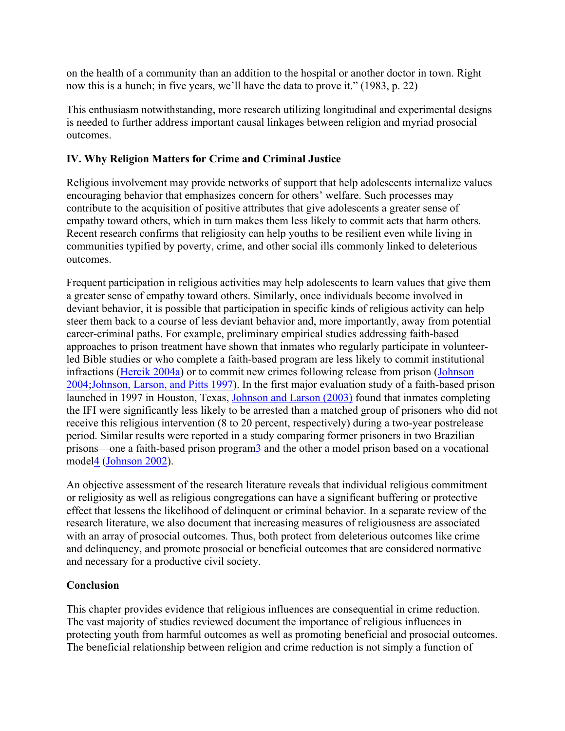on the health of a community than an addition to the hospital or another doctor in town. Right now this is a hunch; in five years, we'll have the data to prove it." (1983, p. 22)

This enthusiasm notwithstanding, more research utilizing longitudinal and experimental designs is needed to further address important causal linkages between religion and myriad prosocial outcomes.

# **IV. Why Religion Matters for Crime and Criminal Justice**

Religious involvement may provide networks of support that help adolescents internalize values encouraging behavior that emphasizes concern for others' welfare. Such processes may contribute to the acquisition of positive attributes that give adolescents a greater sense of empathy toward others, which in turn makes them less likely to commit acts that harm others. Recent research confirms that religiosity can help youths to be resilient even while living in communities typified by poverty, crime, and other social ills commonly linked to deleterious outcomes.

Frequent participation in religious activities may help adolescents to learn values that give them a greater sense of empathy toward others. Similarly, once individuals become involved in deviant behavior, it is possible that participation in specific kinds of religious activity can help steer them back to a course of less deviant behavior and, more importantly, away from potential career-criminal paths. For example, preliminary empirical studies addressing faith-based approaches to prison treatment have shown that inmates who regularly participate in volunteerled Bible studies or who complete a faith-based program are less likely to commit institutional infractions (Hercik 2004a) or to commit new crimes following release from prison (Johnson 2004;Johnson, Larson, and Pitts 1997). In the first major evaluation study of a faith-based prison launched in 1997 in Houston, Texas, Johnson and Larson (2003) found that inmates completing the IFI were significantly less likely to be arrested than a matched group of prisoners who did not receive this religious intervention (8 to 20 percent, respectively) during a two-year postrelease period. Similar results were reported in a study comparing former prisoners in two Brazilian prisons—one a faith-based prison program3 and the other a model prison based on a vocational model4 (Johnson 2002).

An objective assessment of the research literature reveals that individual religious commitment or religiosity as well as religious congregations can have a significant buffering or protective effect that lessens the likelihood of delinquent or criminal behavior. In a separate review of the research literature, we also document that increasing measures of religiousness are associated with an array of prosocial outcomes. Thus, both protect from deleterious outcomes like crime and delinquency, and promote prosocial or beneficial outcomes that are considered normative and necessary for a productive civil society.

# **Conclusion**

This chapter provides evidence that religious influences are consequential in crime reduction. The vast majority of studies reviewed document the importance of religious influences in protecting youth from harmful outcomes as well as promoting beneficial and prosocial outcomes. The beneficial relationship between religion and crime reduction is not simply a function of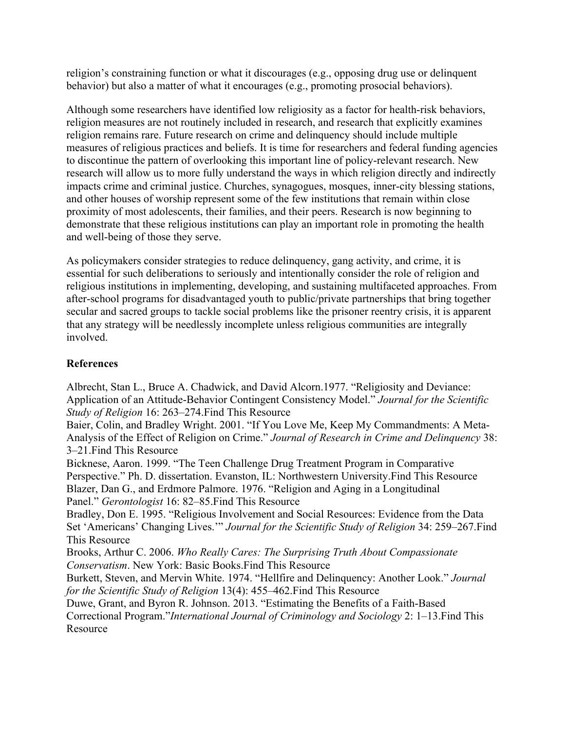religion's constraining function or what it discourages (e.g., opposing drug use or delinquent behavior) but also a matter of what it encourages (e.g., promoting prosocial behaviors).

Although some researchers have identified low religiosity as a factor for health-risk behaviors, religion measures are not routinely included in research, and research that explicitly examines religion remains rare. Future research on crime and delinquency should include multiple measures of religious practices and beliefs. It is time for researchers and federal funding agencies to discontinue the pattern of overlooking this important line of policy-relevant research. New research will allow us to more fully understand the ways in which religion directly and indirectly impacts crime and criminal justice. Churches, synagogues, mosques, inner-city blessing stations, and other houses of worship represent some of the few institutions that remain within close proximity of most adolescents, their families, and their peers. Research is now beginning to demonstrate that these religious institutions can play an important role in promoting the health and well-being of those they serve.

As policymakers consider strategies to reduce delinquency, gang activity, and crime, it is essential for such deliberations to seriously and intentionally consider the role of religion and religious institutions in implementing, developing, and sustaining multifaceted approaches. From after-school programs for disadvantaged youth to public/private partnerships that bring together secular and sacred groups to tackle social problems like the prisoner reentry crisis, it is apparent that any strategy will be needlessly incomplete unless religious communities are integrally involved.

# **References**

Albrecht, Stan L., Bruce A. Chadwick, and David Alcorn.1977. "Religiosity and Deviance: Application of an Attitude-Behavior Contingent Consistency Model." *Journal for the Scientific Study of Religion* 16: 263–274.Find This Resource

Baier, Colin, and Bradley Wright. 2001. "If You Love Me, Keep My Commandments: A Meta-Analysis of the Effect of Religion on Crime." *Journal of Research in Crime and Delinquency* 38: 3–21.Find This Resource

Bicknese, Aaron. 1999. "The Teen Challenge Drug Treatment Program in Comparative Perspective." Ph. D. dissertation. Evanston, IL: Northwestern University.Find This Resource Blazer, Dan G., and Erdmore Palmore. 1976. "Religion and Aging in a Longitudinal Panel." *Gerontologist* 16: 82–85.Find This Resource

Bradley, Don E. 1995. "Religious Involvement and Social Resources: Evidence from the Data Set 'Americans' Changing Lives.'" *Journal for the Scientific Study of Religion* 34: 259–267.Find This Resource

Brooks, Arthur C. 2006. *Who Really Cares: The Surprising Truth About Compassionate Conservatism*. New York: Basic Books.Find This Resource

Burkett, Steven, and Mervin White. 1974. "Hellfire and Delinquency: Another Look." *Journal for the Scientific Study of Religion* 13(4): 455–462.Find This Resource

Duwe, Grant, and Byron R. Johnson. 2013. "Estimating the Benefits of a Faith-Based Correctional Program."*International Journal of Criminology and Sociology* 2: 1–13.Find This **Resource**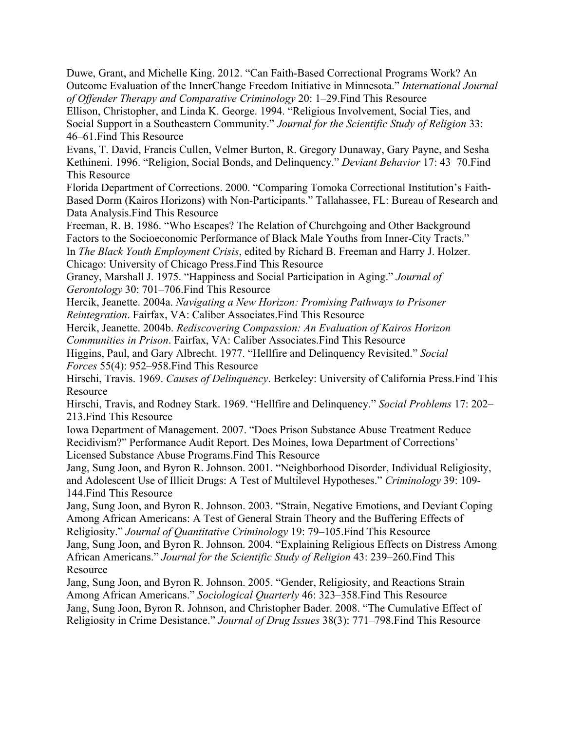Duwe, Grant, and Michelle King. 2012. "Can Faith-Based Correctional Programs Work? An Outcome Evaluation of the InnerChange Freedom Initiative in Minnesota." *International Journal of Offender Therapy and Comparative Criminology* 20: 1–29.Find This Resource

Ellison, Christopher, and Linda K. George. 1994. "Religious Involvement, Social Ties, and Social Support in a Southeastern Community." *Journal for the Scientific Study of Religion* 33: 46–61.Find This Resource

Evans, T. David, Francis Cullen, Velmer Burton, R. Gregory Dunaway, Gary Payne, and Sesha Kethineni. 1996. "Religion, Social Bonds, and Delinquency." *Deviant Behavior* 17: 43–70.Find This Resource

Florida Department of Corrections. 2000. "Comparing Tomoka Correctional Institution's Faith-Based Dorm (Kairos Horizons) with Non-Participants." Tallahassee, FL: Bureau of Research and Data Analysis.Find This Resource

Freeman, R. B. 1986. "Who Escapes? The Relation of Churchgoing and Other Background Factors to the Socioeconomic Performance of Black Male Youths from Inner-City Tracts." In *The Black Youth Employment Crisis*, edited by Richard B. Freeman and Harry J. Holzer.

Chicago: University of Chicago Press.Find This Resource

Graney, Marshall J. 1975. "Happiness and Social Participation in Aging." *Journal of Gerontology* 30: 701–706.Find This Resource

Hercik, Jeanette. 2004a. *Navigating a New Horizon: Promising Pathways to Prisoner Reintegration*. Fairfax, VA: Caliber Associates.Find This Resource

Hercik, Jeanette. 2004b. *Rediscovering Compassion: An Evaluation of Kairos Horizon Communities in Prison*. Fairfax, VA: Caliber Associates.Find This Resource

Higgins, Paul, and Gary Albrecht. 1977. "Hellfire and Delinquency Revisited." *Social Forces* 55(4): 952–958.Find This Resource

Hirschi, Travis. 1969. *Causes of Delinquency*. Berkeley: University of California Press.Find This Resource

Hirschi, Travis, and Rodney Stark. 1969. "Hellfire and Delinquency." *Social Problems* 17: 202– 213.Find This Resource

Iowa Department of Management. 2007. "Does Prison Substance Abuse Treatment Reduce Recidivism?" Performance Audit Report. Des Moines, Iowa Department of Corrections' Licensed Substance Abuse Programs.Find This Resource

Jang, Sung Joon, and Byron R. Johnson. 2001. "Neighborhood Disorder, Individual Religiosity, and Adolescent Use of Illicit Drugs: A Test of Multilevel Hypotheses." *Criminology* 39: 109- 144.Find This Resource

Jang, Sung Joon, and Byron R. Johnson. 2003. "Strain, Negative Emotions, and Deviant Coping Among African Americans: A Test of General Strain Theory and the Buffering Effects of Religiosity." *Journal of Quantitative Criminology* 19: 79–105.Find This Resource Jang, Sung Joon, and Byron R. Johnson. 2004. "Explaining Religious Effects on Distress Among African Americans." *Journal for the Scientific Study of Religion* 43: 239–260.Find This

Resource

Jang, Sung Joon, and Byron R. Johnson. 2005. "Gender, Religiosity, and Reactions Strain Among African Americans." *Sociological Quarterly* 46: 323–358.Find This Resource Jang, Sung Joon, Byron R. Johnson, and Christopher Bader. 2008. "The Cumulative Effect of Religiosity in Crime Desistance." *Journal of Drug Issues* 38(3): 771–798.Find This Resource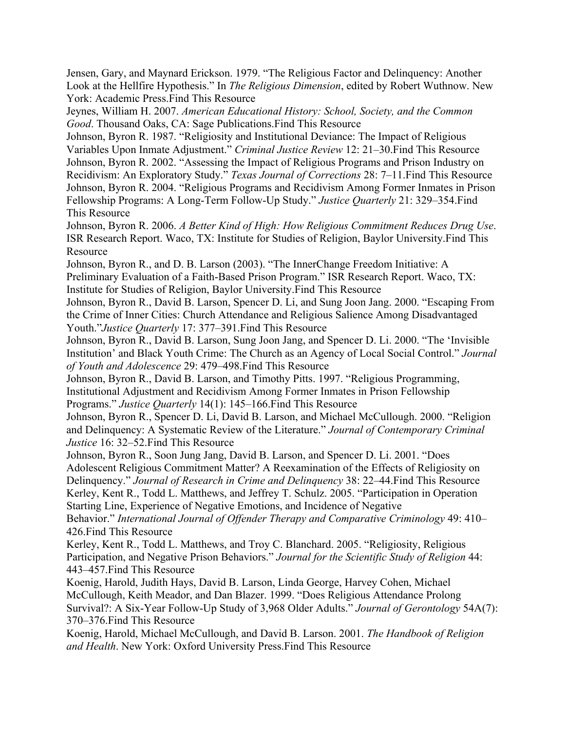Jensen, Gary, and Maynard Erickson. 1979. "The Religious Factor and Delinquency: Another Look at the Hellfire Hypothesis." In *The Religious Dimension*, edited by Robert Wuthnow. New York: Academic Press.Find This Resource

Jeynes, William H. 2007. *American Educational History: School, Society, and the Common Good*. Thousand Oaks, CA: Sage Publications.Find This Resource

Johnson, Byron R. 1987. "Religiosity and Institutional Deviance: The Impact of Religious Variables Upon Inmate Adjustment." *Criminal Justice Review* 12: 21–30.Find This Resource Johnson, Byron R. 2002. "Assessing the Impact of Religious Programs and Prison Industry on Recidivism: An Exploratory Study." *Texas Journal of Corrections* 28: 7–11.Find This Resource Johnson, Byron R. 2004. "Religious Programs and Recidivism Among Former Inmates in Prison Fellowship Programs: A Long-Term Follow-Up Study." *Justice Quarterly* 21: 329–354.Find This Resource

Johnson, Byron R. 2006. *A Better Kind of High: How Religious Commitment Reduces Drug Use*. ISR Research Report. Waco, TX: Institute for Studies of Religion, Baylor University.Find This Resource

Johnson, Byron R., and D. B. Larson (2003). "The InnerChange Freedom Initiative: A Preliminary Evaluation of a Faith-Based Prison Program." ISR Research Report. Waco, TX: Institute for Studies of Religion, Baylor University.Find This Resource

Johnson, Byron R., David B. Larson, Spencer D. Li, and Sung Joon Jang. 2000. "Escaping From the Crime of Inner Cities: Church Attendance and Religious Salience Among Disadvantaged Youth."*Justice Quarterly* 17: 377–391.Find This Resource

Johnson, Byron R., David B. Larson, Sung Joon Jang, and Spencer D. Li. 2000. "The 'Invisible Institution' and Black Youth Crime: The Church as an Agency of Local Social Control." *Journal of Youth and Adolescence* 29: 479–498.Find This Resource

Johnson, Byron R., David B. Larson, and Timothy Pitts. 1997. "Religious Programming, Institutional Adjustment and Recidivism Among Former Inmates in Prison Fellowship Programs." *Justice Quarterly* 14(1): 145–166.Find This Resource

Johnson, Byron R., Spencer D. Li, David B. Larson, and Michael McCullough. 2000. "Religion and Delinquency: A Systematic Review of the Literature." *Journal of Contemporary Criminal Justice* 16: 32–52.Find This Resource

Johnson, Byron R., Soon Jung Jang, David B. Larson, and Spencer D. Li. 2001. "Does Adolescent Religious Commitment Matter? A Reexamination of the Effects of Religiosity on Delinquency." *Journal of Research in Crime and Delinquency* 38: 22–44.Find This Resource Kerley, Kent R., Todd L. Matthews, and Jeffrey T. Schulz. 2005. "Participation in Operation Starting Line, Experience of Negative Emotions, and Incidence of Negative

Behavior." *International Journal of Offender Therapy and Comparative Criminology* 49: 410– 426.Find This Resource

Kerley, Kent R., Todd L. Matthews, and Troy C. Blanchard. 2005. "Religiosity, Religious Participation, and Negative Prison Behaviors." *Journal for the Scientific Study of Religion* 44: 443–457.Find This Resource

Koenig, Harold, Judith Hays, David B. Larson, Linda George, Harvey Cohen, Michael McCullough, Keith Meador, and Dan Blazer. 1999. "Does Religious Attendance Prolong Survival?: A Six-Year Follow-Up Study of 3,968 Older Adults." *Journal of Gerontology* 54A(7): 370–376.Find This Resource

Koenig, Harold, Michael McCullough, and David B. Larson. 2001. *The Handbook of Religion and Health*. New York: Oxford University Press.Find This Resource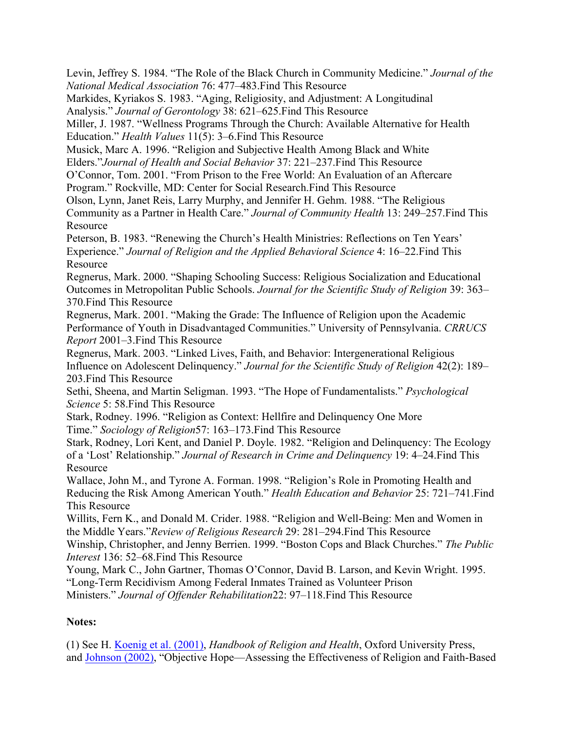Levin, Jeffrey S. 1984. "The Role of the Black Church in Community Medicine." *Journal of the National Medical Association* 76: 477–483.Find This Resource

Markides, Kyriakos S. 1983. "Aging, Religiosity, and Adjustment: A Longitudinal

Analysis." *Journal of Gerontology* 38: 621–625.Find This Resource

Miller, J. 1987. "Wellness Programs Through the Church: Available Alternative for Health Education." *Health Values* 11(5): 3–6.Find This Resource

Musick, Marc A. 1996. "Religion and Subjective Health Among Black and White Elders."*Journal of Health and Social Behavior* 37: 221–237.Find This Resource

O'Connor, Tom. 2001. "From Prison to the Free World: An Evaluation of an Aftercare

Program." Rockville, MD: Center for Social Research.Find This Resource

Olson, Lynn, Janet Reis, Larry Murphy, and Jennifer H. Gehm. 1988. "The Religious

Community as a Partner in Health Care." *Journal of Community Health* 13: 249–257.Find This **Resource** 

Peterson, B. 1983. "Renewing the Church's Health Ministries: Reflections on Ten Years' Experience." *Journal of Religion and the Applied Behavioral Science* 4: 16–22.Find This **Resource** 

Regnerus, Mark. 2000. "Shaping Schooling Success: Religious Socialization and Educational Outcomes in Metropolitan Public Schools. *Journal for the Scientific Study of Religion* 39: 363– 370.Find This Resource

Regnerus, Mark. 2001. "Making the Grade: The Influence of Religion upon the Academic Performance of Youth in Disadvantaged Communities." University of Pennsylvania. *CRRUCS Report* 2001–3.Find This Resource

Regnerus, Mark. 2003. "Linked Lives, Faith, and Behavior: Intergenerational Religious Influence on Adolescent Delinquency." *Journal for the Scientific Study of Religion* 42(2): 189– 203.Find This Resource

Sethi, Sheena, and Martin Seligman. 1993. "The Hope of Fundamentalists." *Psychological Science* 5: 58.Find This Resource

Stark, Rodney. 1996. "Religion as Context: Hellfire and Delinquency One More Time." *Sociology of Religion*57: 163–173.Find This Resource

Stark, Rodney, Lori Kent, and Daniel P. Doyle. 1982. "Religion and Delinquency: The Ecology of a 'Lost' Relationship." *Journal of Research in Crime and Delinquency* 19: 4–24.Find This Resource

Wallace, John M., and Tyrone A. Forman. 1998. "Religion's Role in Promoting Health and Reducing the Risk Among American Youth." *Health Education and Behavior* 25: 721–741.Find This Resource

Willits, Fern K., and Donald M. Crider. 1988. "Religion and Well-Being: Men and Women in the Middle Years."*Review of Religious Research* 29: 281–294.Find This Resource

Winship, Christopher, and Jenny Berrien. 1999. "Boston Cops and Black Churches." *The Public Interest* 136: 52–68.Find This Resource

Young, Mark C., John Gartner, Thomas O'Connor, David B. Larson, and Kevin Wright. 1995. "Long-Term Recidivism Among Federal Inmates Trained as Volunteer Prison Ministers." *Journal of Offender Rehabilitation*22: 97–118.Find This Resource

# **Notes:**

(1) See H. Koenig et al. (2001), *Handbook of Religion and Health*, Oxford University Press, and Johnson (2002), "Objective Hope—Assessing the Effectiveness of Religion and Faith-Based